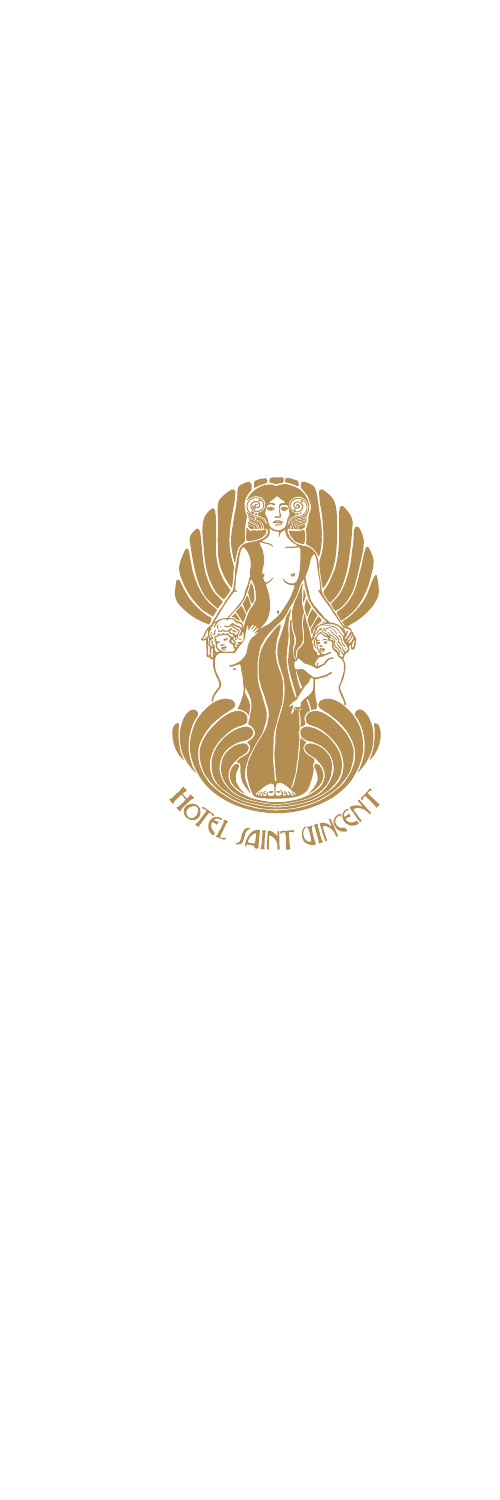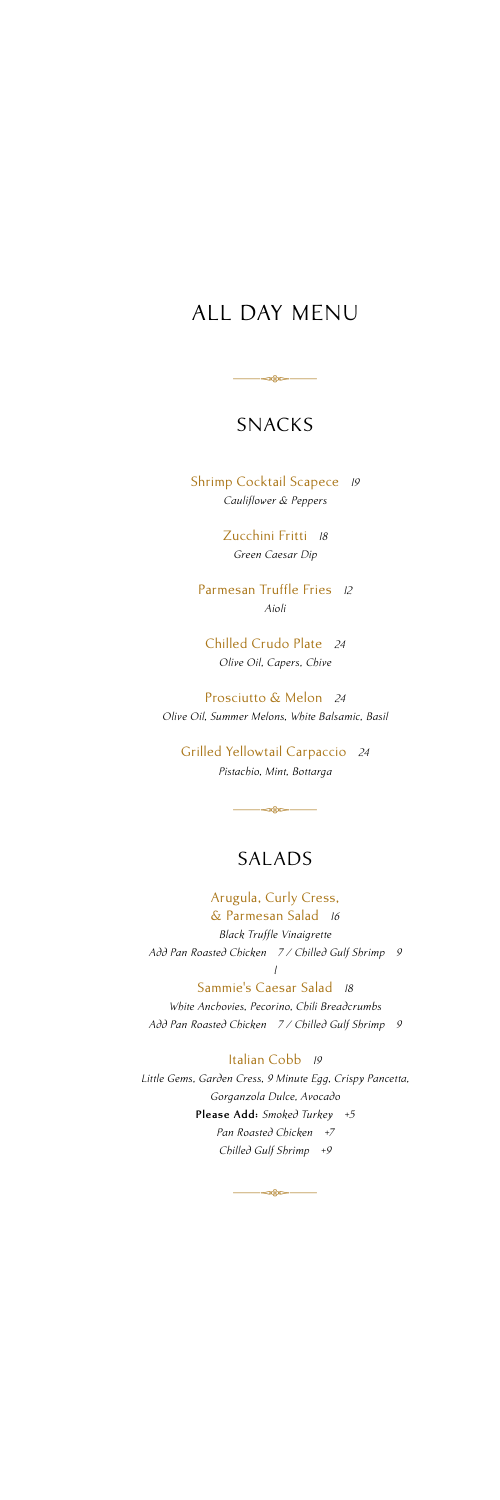# ALL DAY MENU

## SNACKS

**⊲⊛⊳—** 

Shrimp Cocktail Scapece *19 Cauliflower & Peppers* 

> Zucchini Fritti *18 Green Caesar Dip*

Parmesan Truffle Fries *12 Aioli*

Chilled Crudo Plate *24 Olive Oil, Capers, Chive*

Prosciutto & Melon *24 Olive Oil, Summer Melons, White Balsamic, Basil*

Grilled Yellowtail Carpaccio *24 Pistachio, Mint, Bottarga*

## SALADS

 $-$ 

Arugula, Curly Cress, & Parmesan Salad *16 Black Truffle Vinaigrette Add Pan Roasted Chicken 7 / Chilled Gulf Shrimp 9 l*

Sammie's Caesar Salad *18 White Anchovies, Pecorino, Chili Breadcrumbs Add Pan Roasted Chicken 7 / Chilled Gulf Shrimp 9*

Italian Cobb *19 Little Gems, Garden Cress, 9 Minute Egg, Crispy Pancetta, Gorganzola Dulce, Avocado* **Please Add:** *Smoked Turkey +5 Pan Roasted Chicken +7 Chilled Gulf Shrimp +9*

 $-48 -$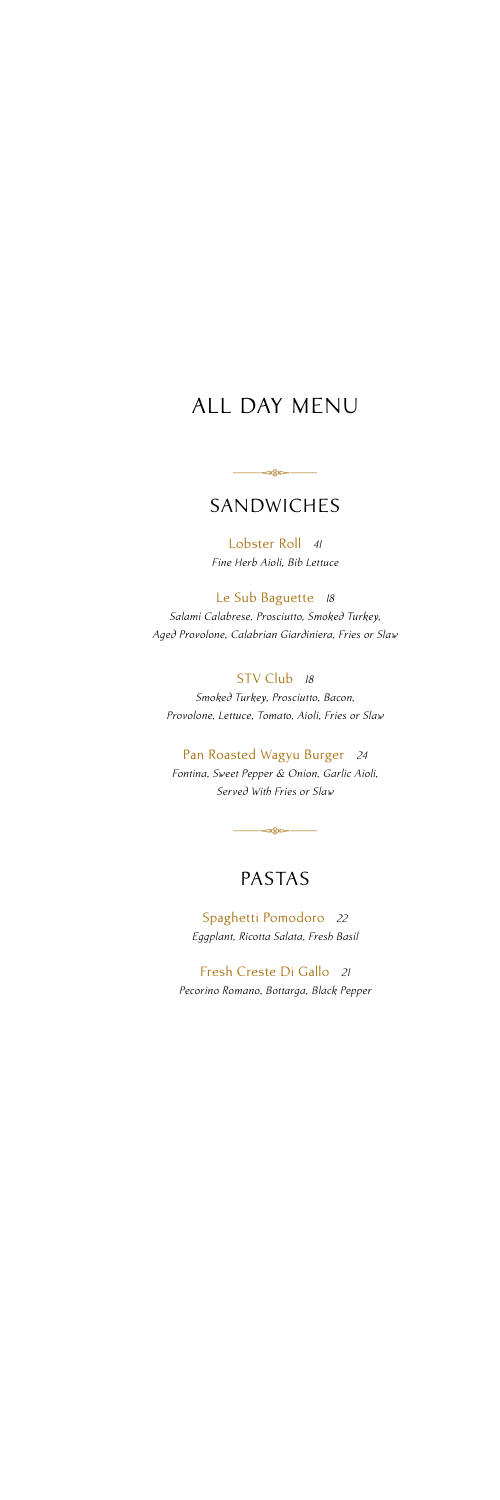# ALL DAY MENU

### SANDWICHES

 $\overline{\phantom{a}}$ 

Lobster Roll *41 Fine Herb Aioli, Bib Lettuce*

Le Sub Baguette *18 Salami Calabrese, Prosciutto, Smoked Turkey, Aged Provolone, Calabrian Giardiniera, Fries or Slaw*

STV Club *18 Smoked Turkey, Prosciutto, Bacon, Provolone, Lettuce, Tomato, Aioli, Fries or Slaw*

Pan Roasted Wagyu Burger *24 Fontina, Sweet Pepper & Onion, Garlic Aioli, Served With Fries or Slaw*

## PASTAS

**or** 

Spaghetti Pomodoro *22 Eggplant, Ricotta Salata, Fresh Basil*

Fresh Creste Di Gallo *21 Pecorino Romano, Bottarga, Black Pepper*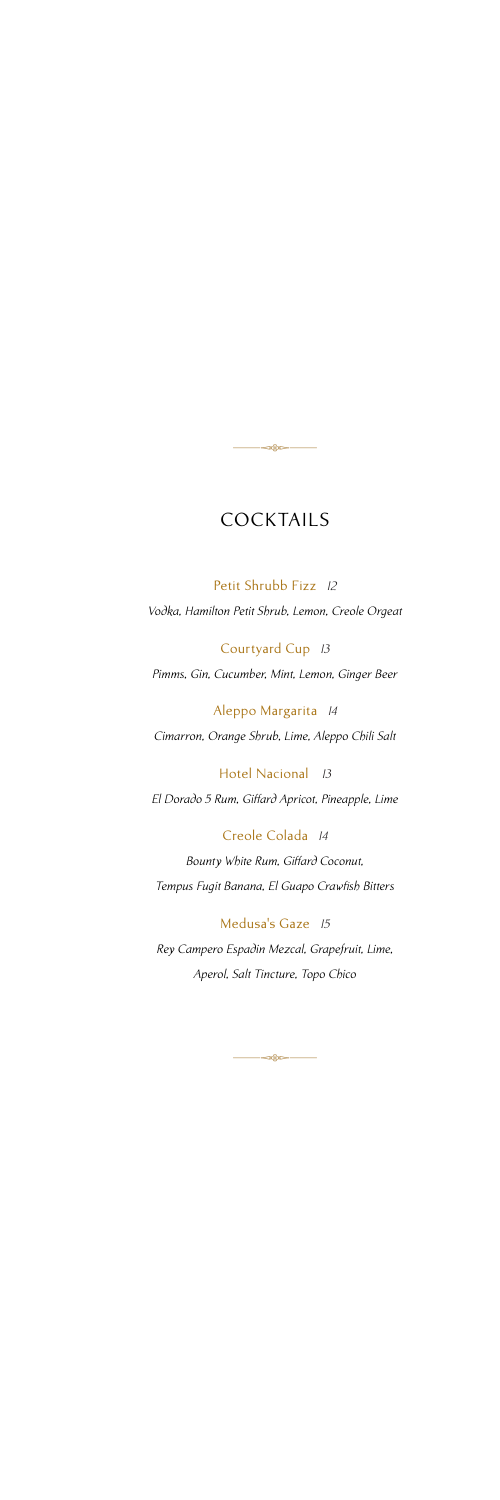## COCKTAILS

-

Petit Shrubb Fizz *12 Vodka, Hamilton Petit Shrub, Lemon, Creole Orgeat*

Courtyard Cup *13 Pimms, Gin, Cucumber, Mint, Lemon, Ginger Beer*

Aleppo Margarita *14 Cimarron, Orange Shrub, Lime, Aleppo Chili Salt*

Hotel Nacional *13 El Dorado 5 Rum, Giffard Apricot, Pineapple, Lime*

Creole Colada *14 Bounty White Rum, Giffard Coconut, Tempus Fugit Banana, El Guapo Crawfish Bitters*

Medusa's Gaze *15*

*Rey Campero Espadin Mezcal, Grapefruit, Lime, Aperol, Salt Tincture, Topo Chico* 

 $-28$